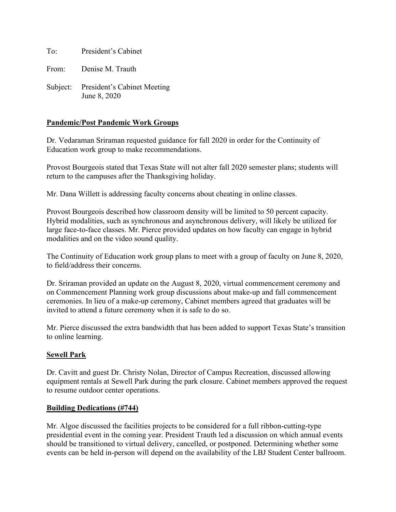To: President's Cabinet

From: Denise M. Trauth

Subject: President's Cabinet Meeting June 8, 2020

## **Pandemic/Post Pandemic Work Groups**

Dr. Vedaraman Sriraman requested guidance for fall 2020 in order for the Continuity of Education work group to make recommendations.

Provost Bourgeois stated that Texas State will not alter fall 2020 semester plans; students will return to the campuses after the Thanksgiving holiday.

Mr. Dana Willett is addressing faculty concerns about cheating in online classes.

Provost Bourgeois described how classroom density will be limited to 50 percent capacity. Hybrid modalities, such as synchronous and asynchronous delivery, will likely be utilized for large face-to-face classes. Mr. Pierce provided updates on how faculty can engage in hybrid modalities and on the video sound quality.

The Continuity of Education work group plans to meet with a group of faculty on June 8, 2020, to field/address their concerns.

Dr. Sriraman provided an update on the August 8, 2020, virtual commencement ceremony and on Commencement Planning work group discussions about make-up and fall commencement ceremonies. In lieu of a make-up ceremony, Cabinet members agreed that graduates will be invited to attend a future ceremony when it is safe to do so.

Mr. Pierce discussed the extra bandwidth that has been added to support Texas State's transition to online learning.

#### **Sewell Park**

Dr. Cavitt and guest Dr. Christy Nolan, Director of Campus Recreation, discussed allowing equipment rentals at Sewell Park during the park closure. Cabinet members approved the request to resume outdoor center operations.

#### **Building Dedications (#744)**

Mr. Algoe discussed the facilities projects to be considered for a full ribbon-cutting-type presidential event in the coming year. President Trauth led a discussion on which annual events should be transitioned to virtual delivery, cancelled, or postponed. Determining whether some events can be held in-person will depend on the availability of the LBJ Student Center ballroom.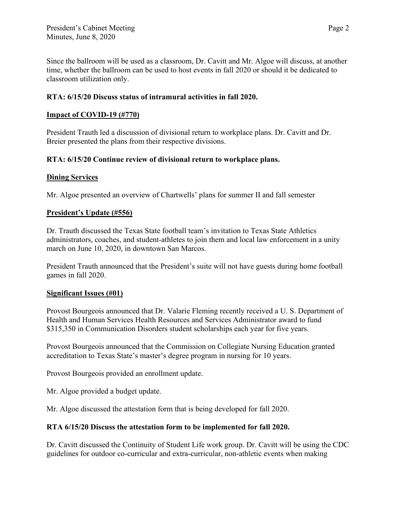Since the ballroom will be used as a classroom, Dr. Cavitt and Mr. Algoe will discuss, at another time, whether the ballroom can be used to host events in fall 2020 or should it be dedicated to classroom utilization only.

## **RTA: 6/15/20 Discuss status of intramural activities in fall 2020.**

## **Impact of COVID-19 (#770)**

President Trauth led a discussion of divisional return to workplace plans. Dr. Cavitt and Dr. Breier presented the plans from their respective divisions.

## **RTA: 6/15/20 Continue review of divisional return to workplace plans.**

## **Dining Services**

Mr. Algoe presented an overview of Chartwells' plans for summer II and fall semester

## **President's Update (#556)**

Dr. Trauth discussed the Texas State football team's invitation to Texas State Athletics administrators, coaches, and student-athletes to join them and local law enforcement in a unity march on June 10, 2020, in downtown San Marcos.

President Trauth announced that the President's suite will not have guests during home football games in fall 2020.

## **Significant Issues (#01)**

Provost Bourgeois announced that Dr. Valarie Fleming recently received a U. S. Department of Health and Human Services Health Resources and Services Administrator award to fund \$315,350 in Communication Disorders student scholarships each year for five years.

Provost Bourgeois announced that the Commission on Collegiate Nursing Education granted accreditation to Texas State's master's degree program in nursing for 10 years.

Provost Bourgeois provided an enrollment update.

Mr. Algoe provided a budget update.

Mr. Algoe discussed the attestation form that is being developed for fall 2020.

# **RTA 6/15/20 Discuss the attestation form to be implemented for fall 2020.**

Dr. Cavitt discussed the Continuity of Student Life work group. Dr. Cavitt will be using the CDC guidelines for outdoor co-curricular and extra-curricular, non-athletic events when making